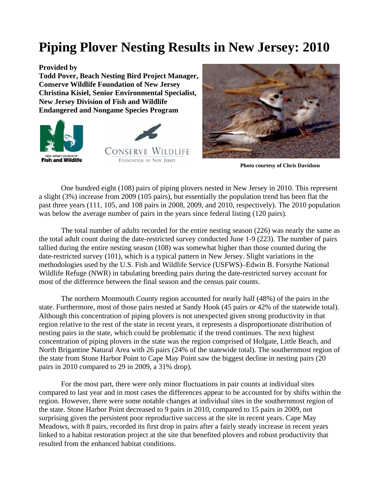## **Piping Plover Nesting Results in New Jersey: 2010**

## **Provided by**

**Todd Pover, Beach Nesting Bird Project Manager, Conserve Wildlife Foundation of New Jersey Christina Kisiel, Senior Environmental Specialist, New Jersey Division of Fish and Wildlife Endangered and Nongame Species Program** 







 **Photo courtesy of Chris Davidson** 

One hundred eight (108) pairs of piping plovers nested in New Jersey in 2010. This represent a slight (3%) increase from 2009 (105 pairs), but essentially the population trend has been flat the past three years (111, 105, and 108 pairs in 2008, 2009, and 2010, respectively). The 2010 population was below the average number of pairs in the years since federal listing (120 pairs).

The total number of adults recorded for the entire nesting season (226) was nearly the same as the total adult count during the date-restricted survey conducted June 1-9 (223). The number of pairs tallied during the entire nesting season (108) was somewhat higher than those counted during the date-restricted survey (101), which is a typical pattern in New Jersey. Slight variations in the methodologies used by the U.S. Fish and Wildlife Service (USFWS)–Edwin B. Forsythe National Wildlife Refuge (NWR) in tabulating breeding pairs during the date-restricted survey account for most of the difference between the final season and the census pair counts.

The northern Monmouth County region accounted for nearly half (48%) of the pairs in the state. Furthermore, most of those pairs nested at Sandy Hook (45 pairs or 42% of the statewide total). Although this concentration of piping plovers is not unexpected given strong productivity in that region relative to the rest of the state in recent years, it represents a disproportionate distribution of nesting pairs in the state, which could be problematic if the trend continues. The next highest concentration of piping plovers in the state was the region comprised of Holgate, Little Beach, and North Brigantine Natural Area with 26 pairs (24% of the statewide total). The southernmost region of the state from Stone Harbor Point to Cape May Point saw the biggest decline in nesting pairs (20 pairs in 2010 compared to 29 in 2009, a 31% drop).

For the most part, there were only minor fluctuations in pair counts at individual sites compared to last year and in most cases the differences appear to be accounted for by shifts within the region. However, there were some notable changes at individual sites in the southernmost region of the state. Stone Harbor Point decreased to 9 pairs in 2010, compared to 15 pairs in 2009, not surprising given the persistent poor reproductive success at the site in recent years. Cape May Meadows, with 8 pairs, recorded its first drop in pairs after a fairly steady increase in recent years linked to a habitat restoration project at the site that benefited plovers and robust productivity that resulted from the enhanced habitat conditions.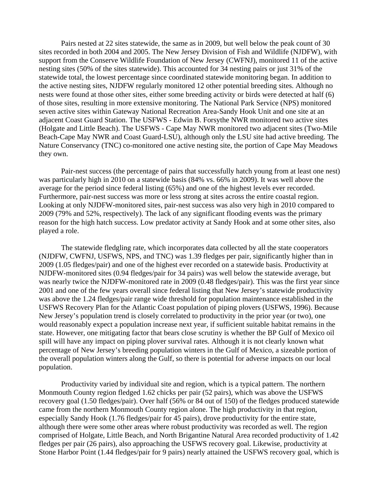Pairs nested at 22 sites statewide, the same as in 2009, but well below the peak count of 30 sites recorded in both 2004 and 2005. The New Jersey Division of Fish and Wildlife (NJDFW), with support from the Conserve Wildlife Foundation of New Jersey (CWFNJ), monitored 11 of the active nesting sites (50% of the sites statewide). This accounted for 34 nesting pairs or just 31% of the statewide total, the lowest percentage since coordinated statewide monitoring began. In addition to the active nesting sites, NJDFW regularly monitored 12 other potential breeding sites. Although no nests were found at those other sites, either some breeding activity or birds were detected at half (6) of those sites, resulting in more extensive monitoring. The National Park Service (NPS) monitored seven active sites within Gateway National Recreation Area-Sandy Hook Unit and one site at an adjacent Coast Guard Station. The USFWS - Edwin B. Forsythe NWR monitored two active sites (Holgate and Little Beach). The USFWS - Cape May NWR monitored two adjacent sites (Two-Mile Beach-Cape May NWR and Coast Guard-LSU), although only the LSU site had active breeding. The Nature Conservancy (TNC) co-monitored one active nesting site, the portion of Cape May Meadows they own.

 Pair-nest success (the percentage of pairs that successfully hatch young from at least one nest) was particularly high in 2010 on a statewide basis (84% vs. 66% in 2009). It was well above the average for the period since federal listing (65%) and one of the highest levels ever recorded. Furthermore, pair-nest success was more or less strong at sites across the entire coastal region. Looking at only NJDFW-monitored sites, pair-nest success was also very high in 2010 compared to 2009 (79% and 52%, respectively). The lack of any significant flooding events was the primary reason for the high hatch success. Low predator activity at Sandy Hook and at some other sites, also played a role.

The statewide fledgling rate, which incorporates data collected by all the state cooperators (NJDFW, CWFNJ, USFWS, NPS, and TNC) was 1.39 fledges per pair, significantly higher than in 2009 (1.05 fledges/pair) and one of the highest ever recorded on a statewide basis. Productivity at NJDFW-monitored sites (0.94 fledges/pair for 34 pairs) was well below the statewide average, but was nearly twice the NJDFW-monitored rate in 2009 (0.48 fledges/pair). This was the first year since 2001 and one of the few years overall since federal listing that New Jersey's statewide productivity was above the 1.24 fledges/pair range wide threshold for population maintenance established in the USFWS Recovery Plan for the Atlantic Coast population of piping plovers (USFWS, 1996). Because New Jersey's population trend is closely correlated to productivity in the prior year (or two), one would reasonably expect a population increase next year, if sufficient suitable habitat remains in the state. However, one mitigating factor that bears close scrutiny is whether the BP Gulf of Mexico oil spill will have any impact on piping plover survival rates. Although it is not clearly known what percentage of New Jersey's breeding population winters in the Gulf of Mexico, a sizeable portion of the overall population winters along the Gulf, so there is potential for adverse impacts on our local population.

Productivity varied by individual site and region, which is a typical pattern. The northern Monmouth County region fledged 1.62 chicks per pair (52 pairs), which was above the USFWS recovery goal (1.50 fledges/pair). Over half (56% or 84 out of 150) of the fledges produced statewide came from the northern Monmouth County region alone. The high productivity in that region, especially Sandy Hook (1.76 fledges/pair for 45 pairs), drove productivity for the entire state, although there were some other areas where robust productivity was recorded as well. The region comprised of Holgate, Little Beach, and North Brigantine Natural Area recorded productivity of 1.42 fledges per pair (26 pairs), also approaching the USFWS recovery goal. Likewise, productivity at Stone Harbor Point (1.44 fledges/pair for 9 pairs) nearly attained the USFWS recovery goal, which is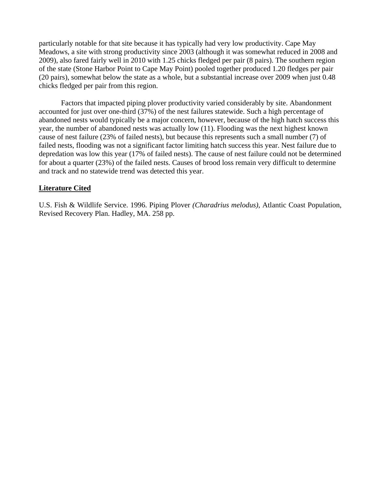particularly notable for that site because it has typically had very low productivity. Cape May Meadows, a site with strong productivity since 2003 (although it was somewhat reduced in 2008 and 2009), also fared fairly well in 2010 with 1.25 chicks fledged per pair (8 pairs). The southern region of the state (Stone Harbor Point to Cape May Point) pooled together produced 1.20 fledges per pair (20 pairs), somewhat below the state as a whole, but a substantial increase over 2009 when just 0.48 chicks fledged per pair from this region.

Factors that impacted piping plover productivity varied considerably by site. Abandonment accounted for just over one-third (37%) of the nest failures statewide. Such a high percentage of abandoned nests would typically be a major concern, however, because of the high hatch success this year, the number of abandoned nests was actually low (11). Flooding was the next highest known cause of nest failure (23% of failed nests), but because this represents such a small number (7) of failed nests, flooding was not a significant factor limiting hatch success this year. Nest failure due to depredation was low this year (17% of failed nests). The cause of nest failure could not be determined for about a quarter (23%) of the failed nests. Causes of brood loss remain very difficult to determine and track and no statewide trend was detected this year.

## **Literature Cited**

U.S. Fish & Wildlife Service. 1996. Piping Plover *(Charadrius melodus)*, Atlantic Coast Population, Revised Recovery Plan. Hadley, MA. 258 pp.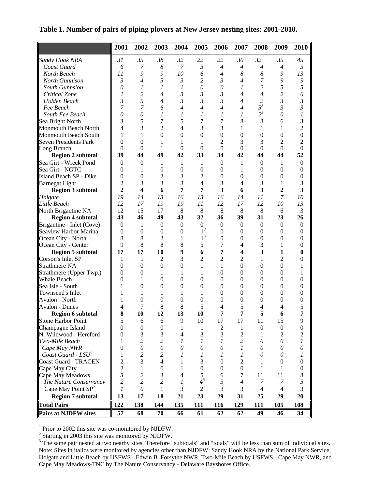|                                | 2001                  | 2002                    | 2003                    | 2004             | 2005             | 2006             | 2007             | 2008             | 2009             | 2010                    |
|--------------------------------|-----------------------|-------------------------|-------------------------|------------------|------------------|------------------|------------------|------------------|------------------|-------------------------|
| Sandy Hook NRA                 | 31                    | 35                      | 38                      | 32               | 22               | 22               | 30               | $32^3$           | 35               | 45                      |
| Coast Guard                    | 6                     | 7                       | $\boldsymbol{8}$        | $\overline{7}$   | 3                | $\overline{4}$   | $\overline{4}$   | $\overline{4}$   | $\overline{4}$   | 5                       |
| North Beach                    | 11                    | 9                       | 9                       | 10               | 6                | $\overline{4}$   | 8                | $\boldsymbol{8}$ | 9                | 13                      |
| North Gunnison                 | 3                     | $\overline{4}$          | 5                       | $\mathfrak{Z}$   | $\overline{c}$   | 3                | $\overline{4}$   | $\overline{7}$   | 9                | 9                       |
| South Gunnsion                 | $\boldsymbol{\theta}$ | 1                       | 1                       | $\mathcal{I}$    | $\theta$         | $\theta$         | 1                | $\overline{c}$   | 5                | $\mathfrak{s}$          |
| Critical Zone                  | 1                     | 2                       | $\overline{4}$          | 3                | 3                | $\mathfrak{Z}$   | $\overline{4}$   | $\overline{4}$   | 2                | 6                       |
| Hidden Beach                   | $\mathfrak{Z}$        | 5                       | $\overline{4}$          | $\mathfrak{Z}$   | $\mathfrak{Z}$   | 3                | $\overline{4}$   | $\overline{c}$   | $\mathfrak{Z}$   | $\mathfrak{Z}$          |
| Fee Beach                      | 7                     | 7                       | 6                       | $\overline{4}$   | $\overline{4}$   | $\overline{4}$   | $\overline{4}$   | $5^3$            | $\mathfrak{Z}$   | $\mathfrak{Z}$          |
| South Fee Beach                | $\boldsymbol{\theta}$ | $\theta$                | 1                       | $\mathcal{I}$    | 1                | 1                | $\mathcal{I}$    | $2^3$            | $\theta$         | $\mathfrak{I}$          |
| Sea Bright North               | 3                     | 5                       | 7                       | 5                | 7                | 7                | 8                | 8                | 6                | 3                       |
| Monmouth Beach North           | 4                     | 3                       | $\overline{c}$          | $\overline{4}$   | 3                | 3                | 1                | 1                | 1                | $\overline{2}$          |
| Monmouth Beach South           | 1                     | 1                       | $\overline{0}$          | $\theta$         | $\mathbf{0}$     | $\boldsymbol{0}$ | $\mathbf{0}$     | $\boldsymbol{0}$ | $\theta$         | $\boldsymbol{0}$        |
| <b>Seven Presidents Park</b>   | $\Omega$              | $\overline{0}$          | 1                       | 1                | 1                | 2                | 3                | 3                | 2                | $\overline{c}$          |
| Long Branch                    | $\Omega$              | $\mathbf{0}$            | 1                       | $\mathbf{0}$     | $\boldsymbol{0}$ | $\boldsymbol{0}$ | $\theta$         | $\boldsymbol{0}$ | $\boldsymbol{0}$ | $\boldsymbol{0}$        |
| <b>Region 2 subtotal</b>       | 39                    | 44                      | 49                      | 42               | 33               | 34               | 42               | 44               | 44               | 52                      |
| Sea Girt - Wreck Pond          | $\mathbf{0}$          | $\boldsymbol{0}$        | 1                       | 1                | 1                | $\mathbf{0}$     | 1                | $\mathbf{0}$     | 1                | $\boldsymbol{0}$        |
| Sea Girt - NGTC                | $\theta$              | 1                       | $\boldsymbol{0}$        | $\mathbf{0}$     | $\boldsymbol{0}$ | $\mathbf{0}$     | 1                | $\overline{0}$   | $\mathbf{0}$     | $\boldsymbol{0}$        |
| Island Beach SP - Dike         | $\mathbf{0}$          | $\boldsymbol{0}$        | $\overline{c}$          | 3                | $\overline{c}$   | $\boldsymbol{0}$ | $\mathbf{0}$     | $\boldsymbol{0}$ | $\boldsymbol{0}$ | $\boldsymbol{0}$        |
| <b>Barnegat Light</b>          | $\overline{2}$        | 3                       | 3                       | 3                | $\overline{4}$   | 3                | 4                | 3                | 1                | 3                       |
|                                | $\overline{2}$        | $\overline{\mathbf{4}}$ | 6                       | 7                | 7                | 3                | 6                | 3                | $\overline{2}$   | $\overline{\mathbf{3}}$ |
| <b>Region 3 subtotal</b>       | 19                    | 14                      |                         |                  |                  |                  |                  |                  | $\overline{7}$   | 10                      |
| Holgate                        |                       |                         | 13                      | 16               | 13               | 16               | 14               | 11               |                  |                         |
| <b>Little Beach</b>            | 12                    | 17                      | 19                      | 19               | 11               | 12               | 17               | 12               | 10               | 13                      |
| North Brigantine NA            | 12                    | 15                      | 17                      | 8                | 8                | 8                | 8                | 8                | 6                | 3                       |
| <b>Region 4 subtotal</b>       | 43                    | 46                      | 49                      | 43               | 32               | 36               | 39               | 31               | 23               | 26                      |
| Brigantine - Inlet (Cove)      | $\mathbf{0}$          | 1                       | $\mathbf{0}$            | $\boldsymbol{0}$ | $\boldsymbol{0}$ | $\boldsymbol{0}$ | $\theta$         | $\boldsymbol{0}$ | $\boldsymbol{0}$ | $\boldsymbol{0}$        |
| Seaview Harbor Marina          | $\mathbf{0}$          | $\boldsymbol{0}$        | $\mathbf{0}$            | $\mathbf{0}$     | $1^3$            | $\boldsymbol{0}$ | $\theta$         | $\mathbf{0}$     | $\mathbf{0}$     | $\boldsymbol{0}$        |
| Ocean City - North             | 8                     | 8                       | 2                       | 1                | 1 <sup>3</sup>   | $\boldsymbol{0}$ | $\theta$         | $\mathbf{0}$     | $\mathbf{0}$     | $\theta$                |
| Ocean City - Center            | 9                     | 8                       | 8                       | 8                | 5                | 7                | $\overline{4}$   | 3                | 1                | $\overline{0}$          |
| <b>Region 5 subtotal</b>       | 17                    | 17                      | 10                      | 9                | 6                | 7                | 4                | 3                | 1                | $\bf{0}$                |
| Corson's Inlet SP              | 1                     | 1                       | 2                       | 3                | $\overline{2}$   | 2                | $\overline{2}$   | $\mathbf{1}$     | $\overline{c}$   | $\boldsymbol{0}$        |
| <b>Strathmere NA</b>           | $\theta$              | $\boldsymbol{0}$        | $\boldsymbol{0}$        | $\mathbf{0}$     | $\mathbf{1}$     | 1                | $\theta$         | $\boldsymbol{0}$ | $\boldsymbol{0}$ | 1                       |
| Strathmere (Upper Twp.)        | $\mathbf{0}$          | $\boldsymbol{0}$        | 1                       | 1                | 1                | $\boldsymbol{0}$ | $\mathbf{0}$     | $\boldsymbol{0}$ | $\boldsymbol{0}$ | 1                       |
| <b>Whale Beach</b>             | $\mathbf{0}$          | 1                       | $\boldsymbol{0}$        | $\theta$         | $\boldsymbol{0}$ | $\boldsymbol{0}$ | $\overline{0}$   | $\mathbf{0}$     | $\mathbf{0}$     | $\overline{0}$          |
| Sea Isle - South               | 1                     | $\boldsymbol{0}$        | $\boldsymbol{0}$        | $\mathbf{0}$     | $\boldsymbol{0}$ | $\boldsymbol{0}$ | $\theta$         | $\boldsymbol{0}$ | $\mathbf{0}$     | $\boldsymbol{0}$        |
| Townsend's Inlet               | 1                     | 1                       | 1                       | 1                | 1                | $\boldsymbol{0}$ | $\boldsymbol{0}$ | $\boldsymbol{0}$ | $\boldsymbol{0}$ | $\boldsymbol{0}$        |
| Avalon - North                 | 1                     | $\boldsymbol{0}$        | $\boldsymbol{0}$        | $\mathbf{0}$     | $\boldsymbol{0}$ | $\boldsymbol{0}$ | $\mathbf{0}$     | $\boldsymbol{0}$ | $\mathbf{0}$     | $\boldsymbol{0}$        |
| Avalon - Dunes                 | 4                     | 7                       | 8                       | 8                | 5                | 4                | 5                | 4                | 4                | 5                       |
| <b>Region 6 subtotal</b>       | 8                     | 10                      | 12                      | 13               | 10               | 7                | 7                | 5                | 6                | 7                       |
| Stone Harbor Point             | 5                     | 6                       | - 6                     | $\mathbf Q$      | 10               | 17               | 17               | 11               | 15               | Q                       |
| Champagne Island               | $\boldsymbol{0}$      | 0                       | $\boldsymbol{0}$        | 1                | 1                | $\overline{c}$   | 1                | $\boldsymbol{0}$ | $\boldsymbol{0}$ | $\boldsymbol{0}$        |
| N. Wildwood - Hereford         | $\theta$              | 3                       | 3                       | $\overline{4}$   | 3                | 3                | $\overline{c}$   | 1                | 2                | 2                       |
| Two-Mile Beach                 | 1                     | 2                       | $\overline{c}$          | $\mathcal{I}$    | 1                | 1                | $\overline{2}$   | 0                | $\theta$         | 1                       |
| Cape May NWR                   | $\theta$              | $\theta$                | $\mathcal O$            | $\theta$         | 0                | 0                | 1                | 0                | 0                | 0                       |
| Coast Guard - $LSU1$           | 1                     | $\overline{\mathbf{c}}$ | $\overline{\mathbf{c}}$ | 1                | 1                | 1                | 1                | $\theta$         | $\theta$         | 1                       |
| Coast Guard - TRACEN           | 2                     | 3                       | $\overline{4}$          | 1                | 3                | $\boldsymbol{0}$ | $\overline{2}$   | 1                | $\boldsymbol{0}$ | $\boldsymbol{0}$        |
| Cape May City                  | $\overline{c}$        | 1                       | $\boldsymbol{0}$        | 1                | $\boldsymbol{0}$ | $\boldsymbol{0}$ | $\boldsymbol{0}$ | 1                | 1                | $\boldsymbol{0}$        |
| Cape May Meadows               | 3                     | 2                       | 3                       | $\overline{4}$   | 5                | 6                | 7                | 11               | 11               | 8                       |
| The Nature Conservancy         | $\overline{2}$        | $\overline{c}$          | 2                       | $\mathcal{I}$    | $4^3$            | 3                | $\overline{4}$   | 7                | 7                | 5                       |
| Cape May Point SP <sup>2</sup> | 1                     | $\mathcal O$            | 1                       | 3                | $2^3$            | 3                | 3                | $\overline{4}$   | 4                | 3                       |
| <b>Region 7 subtotal</b>       | 13                    | 17                      | 18                      | 21               | 23               | 29               | 31               | 25               | 29               | 20                      |
| <b>Total Pairs</b>             | 122                   | 138                     | 144                     | 135              | 111              | 116              | 129              | 111              | 105              | 108                     |
| Pairs at NJDFW sites           | 57                    | 68                      | 70                      | 66               | 61               | 62               | 62               | 49               | 46               | 34                      |

**Table 1. Number of pairs of piping plovers at New Jersey nesting sites: 2001-2010.**

<sup>1</sup> Prior to 2002 this site was co-monitored by NJDFW.<br><sup>2</sup> Starting in 2003 this site was monitored by NJDFW.

 $3$  The same pair nested at two nearby sites. Therefore "subtotals" and "totals" will be less than sum of individual sites. Note: Sites in italics were monitored by agencies other than NJDFW: Sandy Hook NRA by the National Park Service, Holgate and Little Beach by USFWS - Edwin B. Forsythe NWR, Two-Mile Beach by USFWS - Cape May NWR, and Cape May Meadows-TNC by The Nature Conservancy - Delaware Bayshores Office.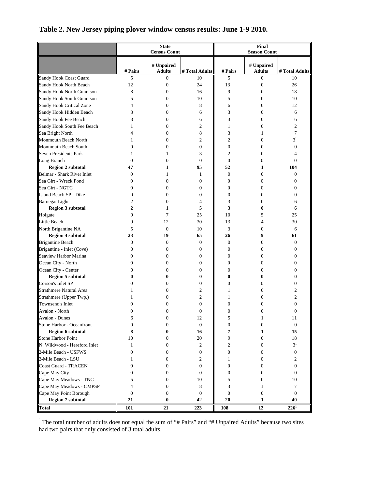|                              |                  | <b>State</b>                |                  | Final               |                             |                  |  |  |
|------------------------------|------------------|-----------------------------|------------------|---------------------|-----------------------------|------------------|--|--|
|                              |                  | <b>Census Count</b>         |                  | <b>Season Count</b> |                             |                  |  |  |
|                              | # Pairs          | # Unpaired<br><b>Adults</b> | # Total Adults   | # Pairs             | # Unpaired<br><b>Adults</b> | # Total Adults   |  |  |
| Sandy Hook Coast Guard       | 5                | $\overline{0}$              | 10               | 5                   | 0                           | 10               |  |  |
| Sandy Hook North Beach       | 12               | $\mathbf{0}$                | 24               | 13                  | $\boldsymbol{0}$            | 26               |  |  |
| Sandy Hook North Gunnison    | 8                | $\mathbf{0}$                | 16               | 9                   | $\mathbf{0}$                | 18               |  |  |
| Sandy Hook South Gunnison    | 5                | $\overline{0}$              | 10               | 5                   | $\mathbf{0}$                | 10               |  |  |
| Sandy Hook Critical Zone     | $\overline{4}$   | $\theta$                    | 8                | 6                   | 0                           | 12               |  |  |
| Sandy Hook Hidden Beach      | 3                | $\theta$                    | 6                | 3                   | $\mathbf{0}$                | 6                |  |  |
| Sandy Hook Fee Beach         | 3                | $\theta$                    | 6                | 3                   | 0                           | 6                |  |  |
| Sandy Hook South Fee Beach   | 1                | $\theta$                    | 2                | $\mathbf{1}$        | 0                           | 2                |  |  |
| Sea Bright North             | 4                | $\overline{0}$              | 8                | 3                   | 1                           | 7                |  |  |
| Monmouth Beach North         | 1                | $\mathbf{0}$                | $\overline{c}$   | $\overline{c}$      | $\mathbf{0}$                | 3 <sup>1</sup>   |  |  |
| Monmouth Beach South         | $\mathbf{0}$     | $\theta$                    | $\overline{0}$   | $\mathbf{0}$        | $\overline{0}$              | $\boldsymbol{0}$ |  |  |
| Seven Presidents Park        | 1                | $\mathbf{1}$                | 3                | $\overline{2}$      | 0                           | 4                |  |  |
| Long Branch                  | $\mathbf{0}$     | $\theta$                    | $\theta$         | $\boldsymbol{0}$    | 0                           | $\mathbf{0}$     |  |  |
| <b>Region 2 subtotal</b>     | 47               | 1                           | 95               | 52                  | 1                           | 104              |  |  |
| Belmar - Shark River Inlet   | $\boldsymbol{0}$ | 1                           | 1                | $\mathbf{0}$        | $\mathbf{0}$                | 0                |  |  |
| Sea Girt - Wreck Pond        | $\mathbf{0}$     | $\theta$                    | $\overline{0}$   | $\boldsymbol{0}$    | 0                           | 0                |  |  |
| Sea Girt - NGTC              | $\mathbf{0}$     | $\theta$                    | $\overline{0}$   | $\boldsymbol{0}$    | 0                           | 0                |  |  |
| Island Beach SP - Dike       | $\mathbf{0}$     | $\theta$                    | 0                | $\boldsymbol{0}$    | 0                           | 0                |  |  |
| <b>Barnegat Light</b>        | 2                | $\theta$                    | 4                | 3                   | 0                           | 6                |  |  |
| <b>Region 3 subtotal</b>     | $\overline{2}$   | 1                           | 5                | 3                   | 0                           | 6                |  |  |
| Holgate                      | 9                | 7                           | 25               | 10                  | 5                           | 25               |  |  |
| Little Beach                 | 9                | 12                          | 30               | 13                  | 4                           | 30               |  |  |
| North Brigantine NA          | 5                | $\boldsymbol{0}$            | 10               | 3                   | $\mathbf{0}$                | 6                |  |  |
| <b>Region 4 subtotal</b>     | 23               | 19                          | 65               | 26                  | 9                           | 61               |  |  |
| Brigantine Beach             | $\mathbf{0}$     | $\theta$                    | $\overline{0}$   | $\boldsymbol{0}$    | 0                           | $\mathbf{0}$     |  |  |
| Brigantine - Inlet (Cove)    | $\mathbf{0}$     | $\mathbf{0}$                | 0                | $\boldsymbol{0}$    | $\mathbf{0}$                | 0                |  |  |
| Seaview Harbor Marina        | $\mathbf{0}$     | $\mathbf{0}$                | 0                | $\boldsymbol{0}$    | 0                           | 0                |  |  |
| Ocean City - North           | $\mathbf{0}$     | $\theta$                    | 0                | $\boldsymbol{0}$    | 0                           | 0                |  |  |
| Ocean City - Center          | $\mathbf{0}$     | $\theta$                    | 0                | $\boldsymbol{0}$    | 0                           | 0                |  |  |
| <b>Region 5 subtotal</b>     | 0                | 0                           | 0                | $\bf{0}$            | 0                           | 0                |  |  |
| Corson's Inlet SP            | $\mathbf{0}$     | $\theta$                    | 0                | $\boldsymbol{0}$    | 0                           | 0                |  |  |
| Strathmere Natural Area      | 1                | $\theta$                    | 2                | 1                   | 0                           | 2                |  |  |
| Strathmere (Upper Twp.)      | 1                | $\overline{0}$              | $\overline{c}$   | 1                   | $\Omega$                    | $\overline{c}$   |  |  |
| Townsend's Inlet             | 0                | $\theta$                    | $\theta$         | $\boldsymbol{0}$    | 0                           | 0                |  |  |
| Avalon - North               | $\overline{0}$   | $\theta$                    | 0                | $\boldsymbol{0}$    | 0                           | 0                |  |  |
| Avalon - Dunes               |                  | 0                           | 12               |                     |                             | 11               |  |  |
| Stone Harbor - Oceanfront    | $\boldsymbol{0}$ | $\boldsymbol{0}$            | $\boldsymbol{0}$ | $\boldsymbol{0}$    | $\boldsymbol{0}$            | $\boldsymbol{0}$ |  |  |
| <b>Region 6 subtotal</b>     | 8                | $\bf{0}$                    | 16               | 7                   | 1                           | 15               |  |  |
| Stone Harbor Point           | 10               | 0                           | 20               | 9                   | $\boldsymbol{0}$            | 18               |  |  |
| N. Wildwood - Hereford Inlet | $\mathbf{1}$     | $\mathbf{0}$                | $\boldsymbol{2}$ | $\boldsymbol{2}$    | $\boldsymbol{0}$            | $3^1\,$          |  |  |
| 2-Mile Beach - USFWS         | $\boldsymbol{0}$ | $\mathbf{0}$                | $\mathbf{0}$     | $\boldsymbol{0}$    | $\boldsymbol{0}$            | $\boldsymbol{0}$ |  |  |
| 2-Mile Beach - LSU           | 1                | $\boldsymbol{0}$            | 2                | 1                   | $\mathbf{0}$                | 2                |  |  |
| Coast Guard - TRACEN         | $\mathbf{0}$     | $\mathbf{0}$                | $\mathbf{0}$     | $\boldsymbol{0}$    | $\mathbf{0}$                | $\boldsymbol{0}$ |  |  |
| Cape May City                | 0                | $\mathbf{0}$                | $\mathbf{0}$     | $\boldsymbol{0}$    | $\mathbf{0}$                | $\mathbf{0}$     |  |  |
| Cape May Meadows - TNC       | 5                | $\mathbf{0}$                | 10               | 5                   | $\mathbf{0}$                | 10               |  |  |
| Cape May Meadows - CMPSP     | 4                | 0                           | 8                | 3                   | 1                           | 7                |  |  |
| Cape May Point Borough       | $\boldsymbol{0}$ | $\mathbf{0}$                | $\mathbf{0}$     | $\boldsymbol{0}$    | $\boldsymbol{0}$            | $\boldsymbol{0}$ |  |  |
| <b>Region 7 subtotal</b>     | 21               | $\bf{0}$                    | 42               | 20                  | 1                           | 40               |  |  |
| <b>Total</b>                 | 101              | 21                          | 223              | 108                 | 12                          | $226^1$          |  |  |

## **Table 2. New Jersey piping plover window census results: June 1-9 2010.**

<sup>1</sup> The total number of adults does not equal the sum of "# Pairs" and "# Unpaired Adults" because two sites had two pairs that only consisted of 3 total adults.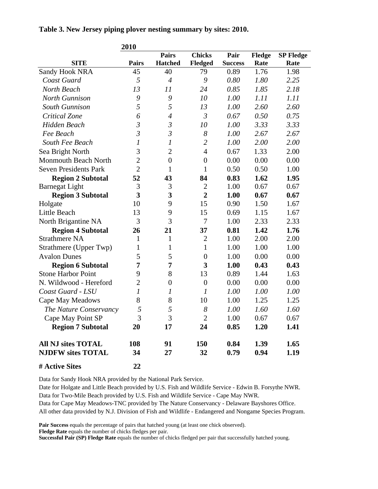|  | Table 3. New Jersey piping plover nesting summary by sites: 2010. |  |
|--|-------------------------------------------------------------------|--|
|  |                                                                   |  |

|                              | 2010             |                  |                  |                |        |                  |
|------------------------------|------------------|------------------|------------------|----------------|--------|------------------|
|                              |                  | <b>Pairs</b>     | <b>Chicks</b>    | Pair           | Fledge | <b>SP Fledge</b> |
| <b>SITE</b>                  | <b>Pairs</b>     | <b>Hatched</b>   | Fledged          | <b>Success</b> | Rate   | Rate             |
| <b>Sandy Hook NRA</b>        | 45               | 40               | 79               | 0.89           | 1.76   | 1.98             |
| Coast Guard                  | 5                | $\overline{4}$   | 9                | 0.80           | 1.80   | 2.25             |
| North Beach                  | 13               | 11               | 24               | 0.85           | 1.85   | 2.18             |
| North Gunnison               | 9                | 9                | 10               | 1.00           | 1.11   | 1.11             |
| <b>South Gunnison</b>        | 5                | 5                | 13               | 1.00           | 2.60   | 2.60             |
| Critical Zone                | 6                | $\overline{4}$   | $\mathfrak{Z}$   | 0.67           | 0.50   | 0.75             |
| Hidden Beach                 | $\mathfrak{Z}$   | $\mathfrak{Z}$   | 10               | 1.00           | 3.33   | 3.33             |
| Fee Beach                    | $\mathfrak{Z}$   | $\mathfrak{Z}$   | 8                | 1.00           | 2.67   | 2.67             |
| South Fee Beach              | $\boldsymbol{l}$ | 1                | $\overline{c}$   | 1.00           | 2.00   | 2.00             |
| Sea Bright North             | 3                | $\overline{2}$   | $\overline{4}$   | 0.67           | 1.33   | 2.00             |
| <b>Monmouth Beach North</b>  | $\overline{2}$   | $\boldsymbol{0}$ | $\boldsymbol{0}$ | 0.00           | 0.00   | 0.00             |
| <b>Seven Presidents Park</b> | $\overline{2}$   | $\mathbf{1}$     | $\mathbf{1}$     | 0.50           | 0.50   | 1.00             |
| <b>Region 2 Subtotal</b>     | 52               | 43               | 84               | 0.83           | 1.62   | 1.95             |
| <b>Barnegat Light</b>        | 3                | 3                | $\overline{2}$   | 1.00           | 0.67   | 0.67             |
| <b>Region 3 Subtotal</b>     | 3                | 3                | $\overline{2}$   | 1.00           | 0.67   | 0.67             |
| Holgate                      | 10               | 9                | 15               | 0.90           | 1.50   | 1.67             |
| Little Beach                 | 13               | 9                | 15               | 0.69           | 1.15   | 1.67             |
| North Brigantine NA          | 3                | 3                | 7                | 1.00           | 2.33   | 2.33             |
| <b>Region 4 Subtotal</b>     | 26               | 21               | 37               | 0.81           | 1.42   | 1.76             |
| <b>Strathmere NA</b>         | 1                | $\mathbf{1}$     | $\mathbf{2}$     | 1.00           | 2.00   | 2.00             |
| Strathmere (Upper Twp)       | 1                | 1                | $\mathbf{1}$     | 1.00           | 1.00   | 1.00             |
| <b>Avalon Dunes</b>          | 5                | 5                | $\boldsymbol{0}$ | 1.00           | 0.00   | 0.00             |
| <b>Region 6 Subtotal</b>     | 7                | 7                | 3                | 1.00           | 0.43   | 0.43             |
| <b>Stone Harbor Point</b>    | 9                | 8                | 13               | 0.89           | 1.44   | 1.63             |
| N. Wildwood - Hereford       | $\overline{2}$   | $\boldsymbol{0}$ | $\boldsymbol{0}$ | 0.00           | 0.00   | 0.00             |
| Coast Guard - LSU            | $\mathfrak{1}$   | $\mathfrak{I}$   | $\mathfrak{I}$   | 1.00           | 1.00   | 1.00             |
| Cape May Meadows             | 8                | $8\,$            | 10               | 1.00           | 1.25   | 1.25             |
| The Nature Conservancy       | 5                | 5                | 8                | 1.00           | 1.60   | 1.60             |
| Cape May Point SP            | 3                | 3                | $\overline{c}$   | 1.00           | 0.67   | 0.67             |
| <b>Region 7 Subtotal</b>     | 20               | 17               | 24               | 0.85           | 1.20   | 1.41             |
| <b>All NJ sites TOTAL</b>    | 108              | 91               | <b>150</b>       | 0.84           | 1.39   | 1.65             |
| <b>NJDFW sites TOTAL</b>     | 34               | 27               | 32               | 0.79           | 0.94   | 1.19             |
| # Active Sites               | 22               |                  |                  |                |        |                  |

Data for Sandy Hook NRA provided by the National Park Service.

Date for Holgate and Little Beach provided by U.S. Fish and Wildlife Service - Edwin B. Forsythe NWR. Data for Two-Mile Beach provided by U.S. Fish and Wildlife Service - Cape May NWR.

Data for Cape May Meadows-TNC provided by The Nature Conservancy - Delaware Bayshores Office. All other data provided by N.J. Division of Fish and Wildlife - Endangered and Nongame Species Program.

**Pair Success** equals the percentage of pairs that hatched young (at least one chick observed).

**Fledge Rate** equals the number of chicks fledges per pair.

**Successful Pair (SP) Fledge Rate** equals the number of chicks fledged per pair that successfully hatched young.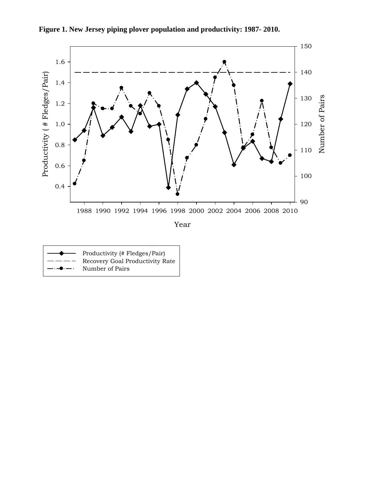